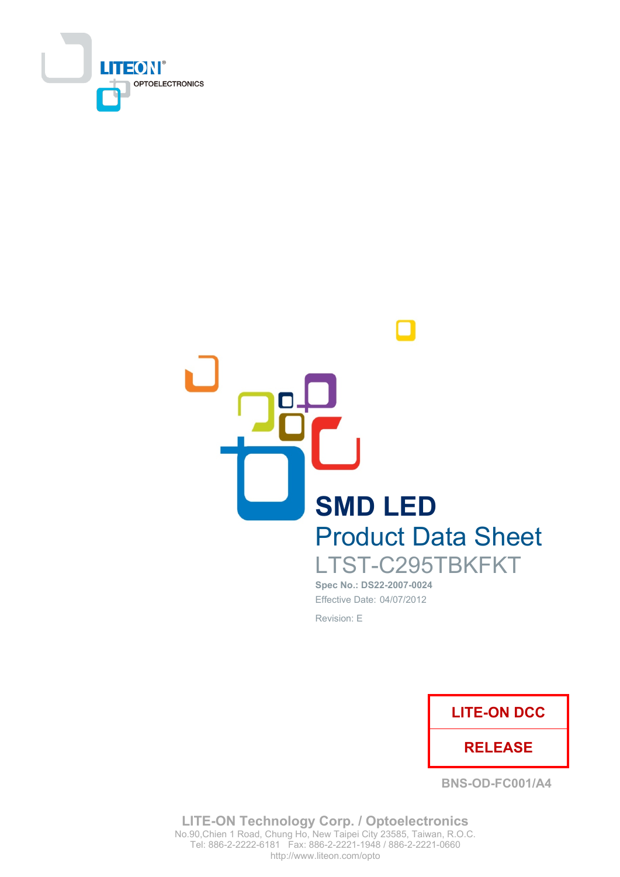



Spec No.: DS22-2007-0024 Effective Date: 04/07/2012 Revision: E



**BNS-OD-FC001/A4** 

**LITE-ON Technology Corp. / Optoelectronics** No.90, Chien 1 Road, Chung Ho, New Taipei City 23585, Taiwan, R.O.C. http://www.liteon.com/opto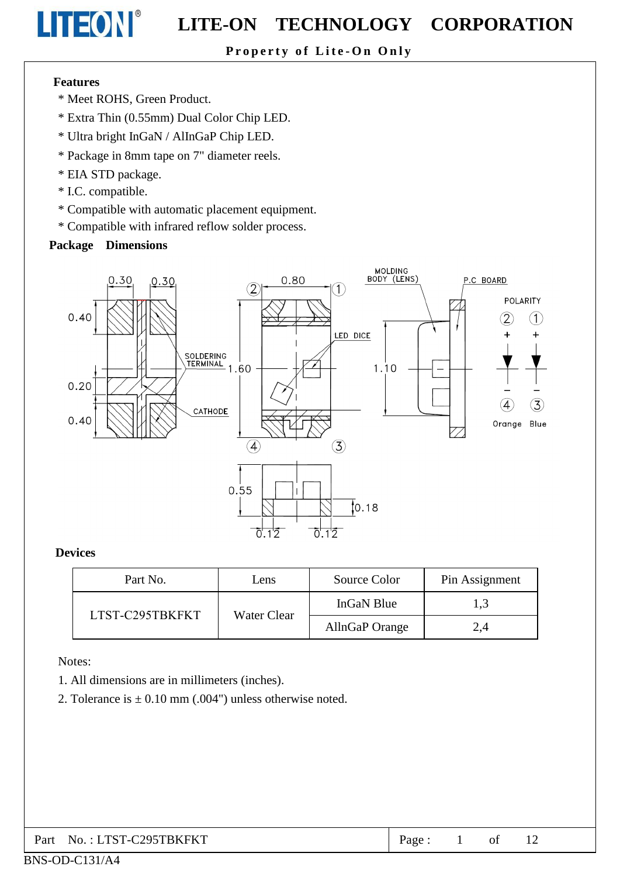### Property of Lite-On Only

#### **Features**

LITEON®

- \* Meet ROHS. Green Product.
- \* Extra Thin (0.55mm) Dual Color Chip LED.
- \* Ultra bright InGaN / AlInGaP Chip LED.
- \* Package in 8mm tape on 7" diameter reels.
- \* EIA STD package.
- \* I.C. compatible.
- \* Compatible with automatic placement equipment.
- \* Compatible with infrared reflow solder process.

#### **Package Dimensions**



#### **Devices**

| Part No.        | Lens        | Source Color   | Pin Assignment |
|-----------------|-------------|----------------|----------------|
| LTST-C295TBKFKT | Water Clear | InGaN Blue     | 1,3            |
|                 |             | AllnGaP Orange | 2,4            |

Notes:

- 1. All dimensions are in millimeters (inches).
- 2. Tolerance is  $\pm$  0.10 mm (.004") unless otherwise noted.

| Part No.: LTST-C295TBKFKT<br>Page: |  |  |  |  |
|------------------------------------|--|--|--|--|
|------------------------------------|--|--|--|--|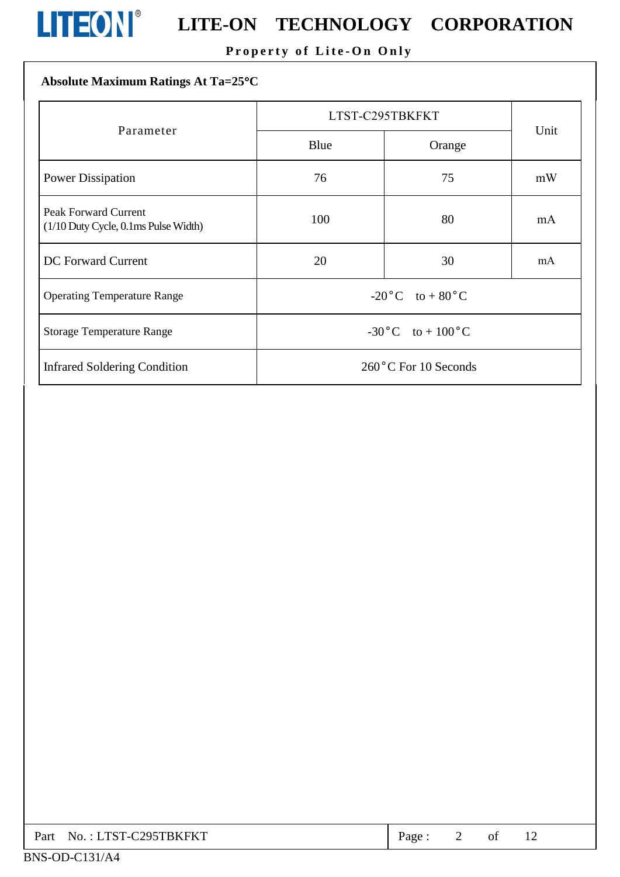

## Property of Lite-On Only

## Absolute Maximum Ratings At Ta=25°C

|                                                                     | LTST-C295TBKFKT                   |                      |      |  |
|---------------------------------------------------------------------|-----------------------------------|----------------------|------|--|
| Parameter                                                           | Blue                              | Orange               | Unit |  |
| <b>Power Dissipation</b>                                            | 76<br>75                          |                      | mW   |  |
| <b>Peak Forward Current</b><br>(1/10 Duty Cycle, 0.1ms Pulse Width) | 100                               | 80                   | mA   |  |
| <b>DC</b> Forward Current                                           | 20                                | 30                   | mA   |  |
| <b>Operating Temperature Range</b>                                  | $-20\degree C$ to $+80\degree C$  |                      |      |  |
| <b>Storage Temperature Range</b>                                    | $-30\degree C$ to $+100\degree C$ |                      |      |  |
| <b>Infrared Soldering Condition</b>                                 |                                   | 260°C For 10 Seconds |      |  |

| Part No.: LTST-C295TBKFKT | Page: |  |  |
|---------------------------|-------|--|--|
|                           |       |  |  |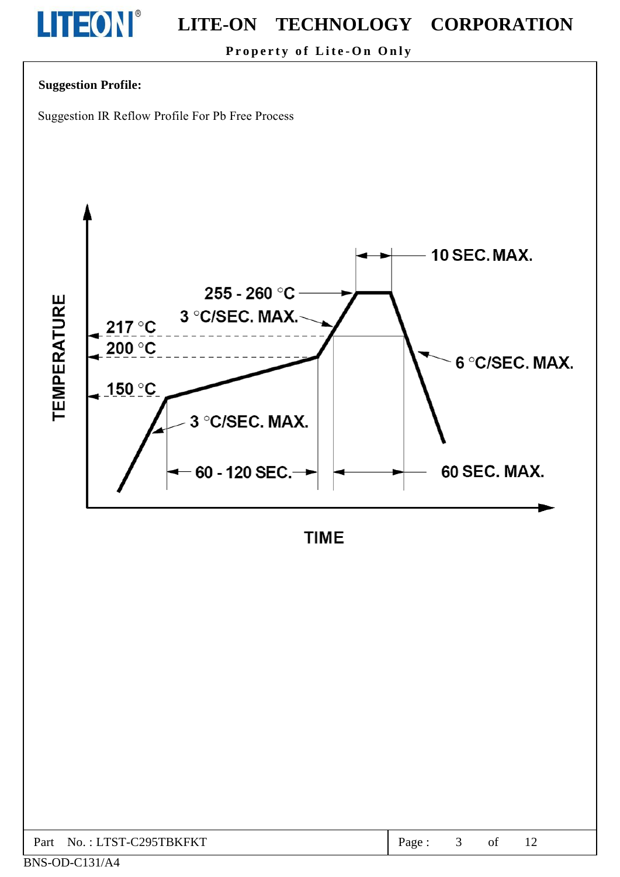

Property of Lite-On Only

#### **Suggestion Profile:**

BNS-OD-C131/A4

Suggestion IR Reflow Profile For Pb Free Process



**TIME** 

| No.: LTST-C295TBKFKT<br>Part | rage |  |  |  |  |  |
|------------------------------|------|--|--|--|--|--|
|------------------------------|------|--|--|--|--|--|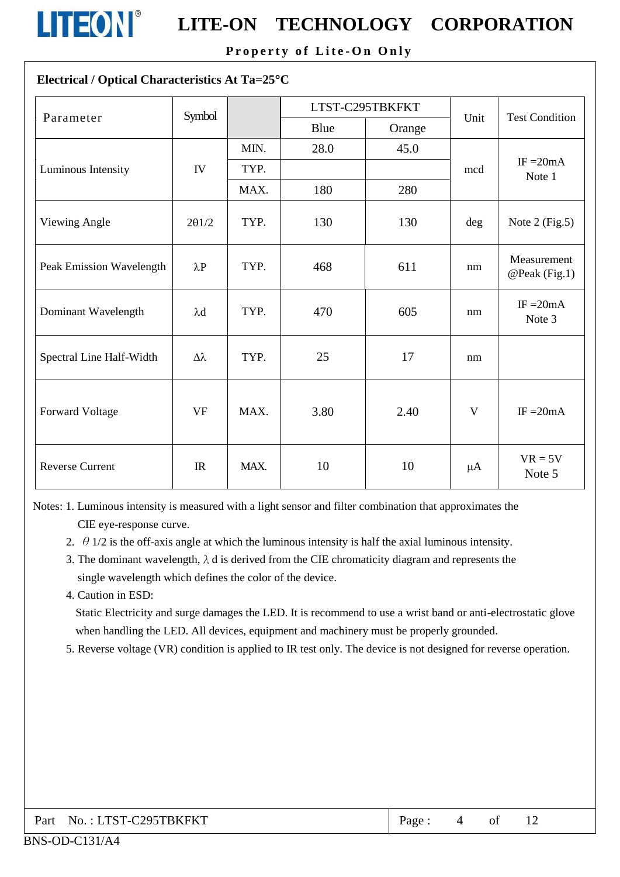

Property of Lite-On Only

#### Electrical / Optical Characteristics At Ta=25°C

| Parameter                | Symbol           |      | LTST-C295TBKFKT |        | Unit         | <b>Test Condition</b>        |
|--------------------------|------------------|------|-----------------|--------|--------------|------------------------------|
|                          |                  |      | Blue            | Orange |              |                              |
|                          |                  | MIN. | 28.0            | 45.0   |              |                              |
| Luminous Intensity       | IV               | TYP. |                 |        | mcd          | IF $=20mA$<br>Note 1         |
|                          |                  | MAX. | 180             | 280    |              |                              |
| Viewing Angle            | $2\theta$ 1/2    | TYP. | 130             | 130    | deg          | Note $2$ (Fig.5)             |
| Peak Emission Wavelength | $\lambda P$      | TYP. | 468             | 611    | nm           | Measurement<br>@Peak (Fig.1) |
| Dominant Wavelength      | $\lambda$ d      | TYP. | 470             | 605    | nm           | IF $=20mA$<br>Note 3         |
| Spectral Line Half-Width | $\Delta \lambda$ | TYP. | 25              | 17     | nm           |                              |
| Forward Voltage          | <b>VF</b>        | MAX. | 3.80            | 2.40   | $\mathbf{V}$ | $IF = 20mA$                  |
| <b>Reverse Current</b>   | IR               | MAX. | 10              | 10     | $\mu A$      | $VR = 5V$<br>Note 5          |

Notes: 1. Luminous intensity is measured with a light sensor and filter combination that approximates the CIE eye-response curve.

- 2.  $\theta$  1/2 is the off-axis angle at which the luminous intensity is half the axial luminous intensity.
- 3. The dominant wavelength,  $\lambda$  d is derived from the CIE chromaticity diagram and represents the single wavelength which defines the color of the device.
- 4. Caution in ESD:

Static Electricity and surge damages the LED. It is recommend to use a wrist band or anti-electrostatic glove when handling the LED. All devices, equipment and machinery must be properly grounded.

5. Reverse voltage (VR) condition is applied to IR test only. The device is not designed for reverse operation.

| Part No.: LTST-C295TBKFKT | Page: |  | of |  |
|---------------------------|-------|--|----|--|
|---------------------------|-------|--|----|--|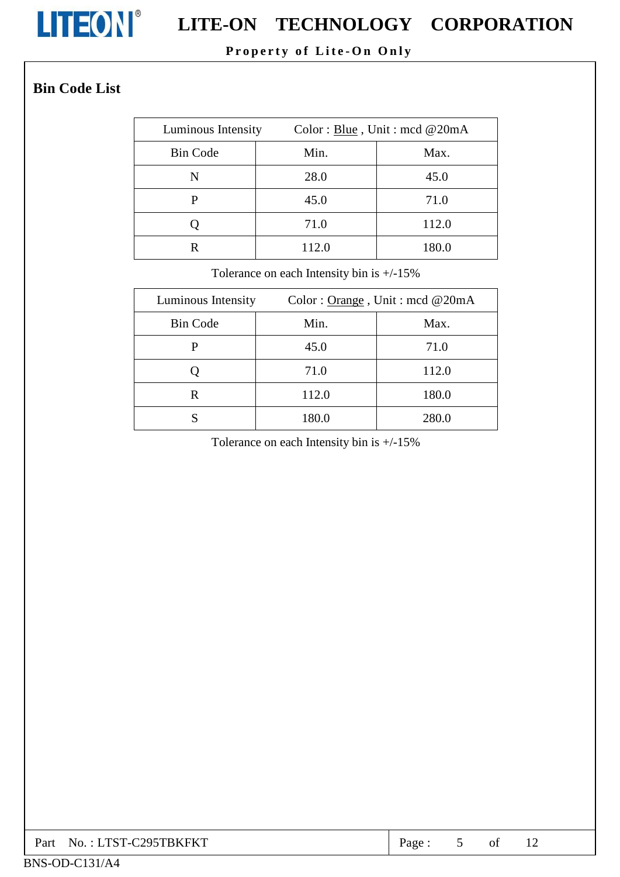

### Property of Lite-On Only

## **Bin Code List**

| Luminous Intensity |       | Color: Blue, Unit: mcd @20mA |  |  |
|--------------------|-------|------------------------------|--|--|
| <b>Bin Code</b>    | Min.  | Max.                         |  |  |
| N                  | 28.0  | 45.0                         |  |  |
| р                  | 45.0  | 71.0                         |  |  |
|                    | 71.0  | 112.0                        |  |  |
| R                  | 112.0 | 180.0                        |  |  |

Tolerance on each Intensity bin is  $+/-15\%$ 

| Luminous Intensity |       | Color: $Orange$ , Unit: mcd @20mA |
|--------------------|-------|-----------------------------------|
| <b>Bin Code</b>    | Min.  | Max.                              |
| P                  | 45.0  | 71.0                              |
|                    | 71.0  | 112.0                             |
| R                  | 112.0 | 180.0                             |
|                    | 180.0 | 280.0                             |

Tolerance on each Intensity bin is  $+/-15\%$ 

| Part No.: LTST-C295TBKFKT | Page. |  | ΟÌ |  |  |
|---------------------------|-------|--|----|--|--|
|---------------------------|-------|--|----|--|--|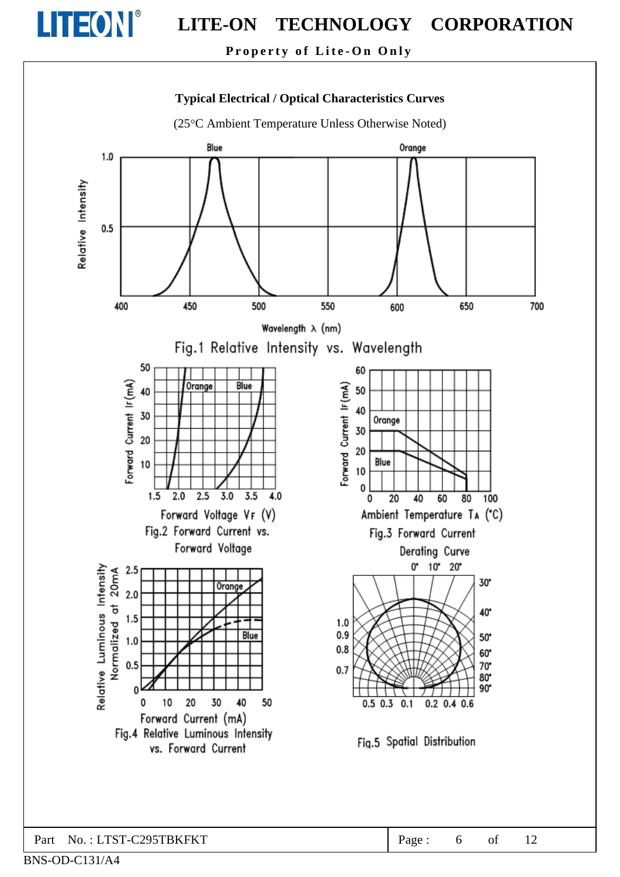

Property of Lite-On Only



Part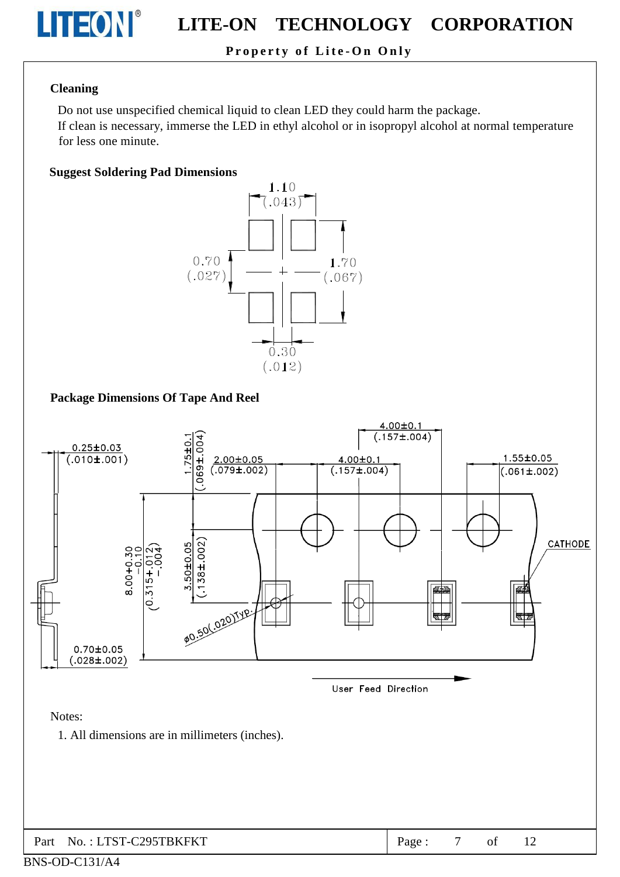

### Property of Lite-On Only

#### **Cleaning**

Do not use unspecified chemical liquid to clean LED they could harm the package.

If clean is necessary, immerse the LED in ethyl alcohol or in isopropyl alcohol at normal temperature for less one minute.

#### **Suggest Soldering Pad Dimensions**



#### **Package Dimensions Of Tape And Reel**

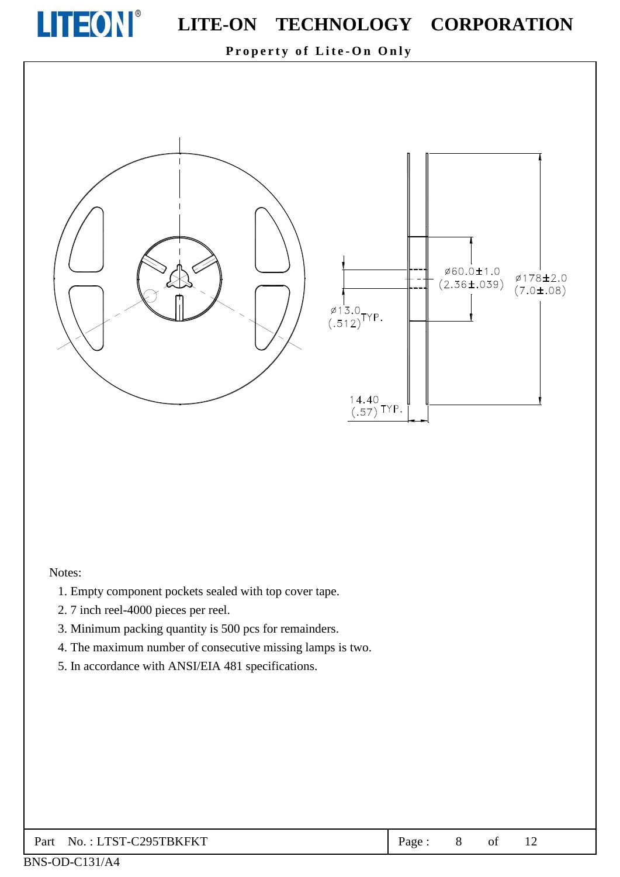

ø60.0±1.0

 $(2.36 \pm .039)$ 

Ø178±2.0

 $(7.0 \pm .08)$ 

Property of Lite-On Only



#### Notes:

- 1. Empty component pockets sealed with top cover tape.
- 2.7 inch reel-4000 pieces per reel.
- 3. Minimum packing quantity is 500 pcs for remainders.
- 4. The maximum number of consecutive missing lamps is two.
- 5. In accordance with ANSI/EIA 481 specifications.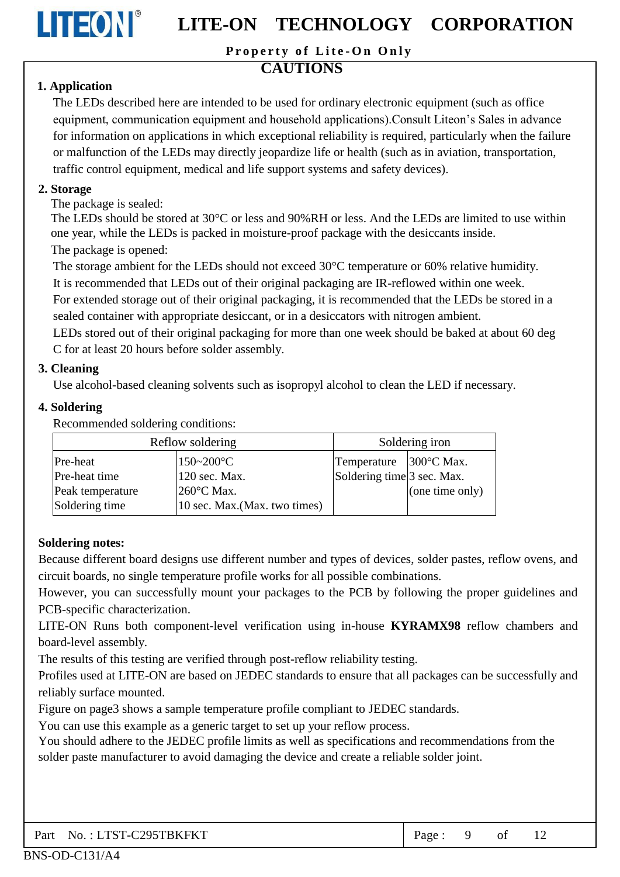

Property of Lite-On Only

## **CAUTIONS**

### 1. Application

The LEDs described here are intended to be used for ordinary electronic equipment (such as office equipment, communication equipment and household applications). Consult Liteon's Sales in advance for information on applications in which exceptional reliability is required, particularly when the failure or malfunction of the LEDs may directly jeopardize life or health (such as in aviation, transportation, traffic control equipment, medical and life support systems and safety devices).

#### 2. Storage

The package is sealed:

The LEDs should be stored at 30 °C or less and 90%RH or less. And the LEDs are limited to use within one year, while the LEDs is packed in moisture-proof package with the desiccants inside. The package is opened:

The storage ambient for the LEDs should not exceed 30°C temperature or 60% relative humidity.

It is recommended that LEDs out of their original packaging are IR-reflowed within one week.

For extended storage out of their original packaging, it is recommended that the LEDs be stored in a sealed container with appropriate desiccant, or in a desiccators with nitrogen ambient.

LEDs stored out of their original packaging for more than one week should be baked at about 60 deg C for at least 20 hours before solder assembly.

#### 3. Cleaning

Use alcohol-based cleaning solvents such as isopropyl alcohol to clean the LED if necessary.

#### 4. Soldering

Recommended soldering conditions:

|                  | Reflow soldering              | Soldering iron             |                 |  |  |
|------------------|-------------------------------|----------------------------|-----------------|--|--|
| Pre-heat         | $150 - 200$ °C                | Temperature 300°C Max.     |                 |  |  |
| Pre-heat time    | 120 sec. Max.                 | Soldering time 3 sec. Max. |                 |  |  |
| Peak temperature | $260^{\circ}$ C Max.          |                            | (one time only) |  |  |
| Soldering time   | 10 sec. Max. (Max. two times) |                            |                 |  |  |

#### **Soldering notes:**

Because different board designs use different number and types of devices, solder pastes, reflow ovens, and circuit boards, no single temperature profile works for all possible combinations.

However, you can successfully mount your packages to the PCB by following the proper guidelines and PCB-specific characterization.

LITE-ON Runs both component-level verification using in-house KYRAMX98 reflow chambers and board-level assembly.

The results of this testing are verified through post-reflow reliability testing.

Profiles used at LITE-ON are based on JEDEC standards to ensure that all packages can be successfully and reliably surface mounted.

Figure on page3 shows a sample temperature profile compliant to JEDEC standards.

You can use this example as a generic target to set up your reflow process.

You should adhere to the JEDEC profile limits as well as specifications and recommendations from the solder paste manufacturer to avoid damaging the device and create a reliable solder joint.

|  | Part No.: LTST-C295TBKFKT | Page: $9$ of 12 |  |  |  |
|--|---------------------------|-----------------|--|--|--|
|--|---------------------------|-----------------|--|--|--|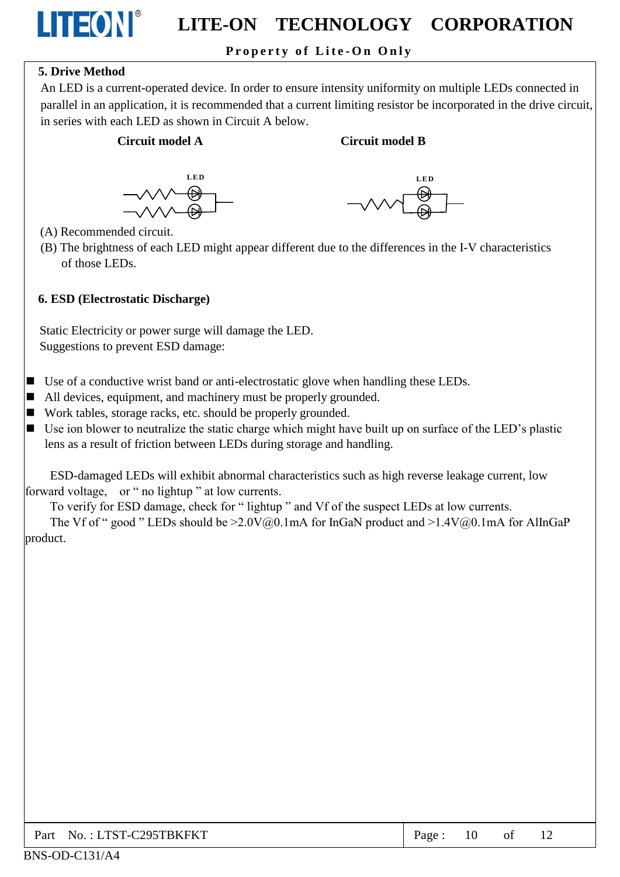### Property of Lite-On Only

#### **5. Drive Method**

**LITEON®** 

An LED is a current-operated device. In order to ensure intensity uniformity on multiple LEDs connected in parallel in an application, it is recommended that a current limiting resistor be incorporated in the drive circuit, in series with each LED as shown in Circuit A below.

#### Circuit model A

#### **Circuit model B**





(A) Recommended circuit.

(B) The brightness of each LED might appear different due to the differences in the I-V characteristics of those LEDs.

#### 6. ESD (Electrostatic Discharge)

Static Electricity or power surge will damage the LED. Suggestions to prevent ESD damage:

- $\blacksquare$  Use of a conductive wrist band or anti-electrostatic glove when handling these LEDs.
- $\blacksquare$  All devices, equipment, and machinery must be properly grounded.
- Work tables, storage racks, etc. should be properly grounded.
- $\blacksquare$  Use ion blower to neutralize the static charge which might have built up on surface of the LED's plastic lens as a result of friction between LEDs during storage and handling.

ESD-damaged LEDs will exhibit abnormal characteristics such as high reverse leakage current, low forward voltage, or " no lightup " at low currents.

To verify for ESD damage, check for "lightup" and Vf of the suspect LEDs at low currents.

The Vf of " good " LEDs should be  $\geq 2.0 \sqrt{a_0}$ . 1mA for InGaN product and  $\geq 1.4 \sqrt{a_0}$ . 1mA for AlInGaP product.

| Part No.: LTST-C295TBKFKT | Page: $10$ of $12$ |  |  |  |
|---------------------------|--------------------|--|--|--|
|---------------------------|--------------------|--|--|--|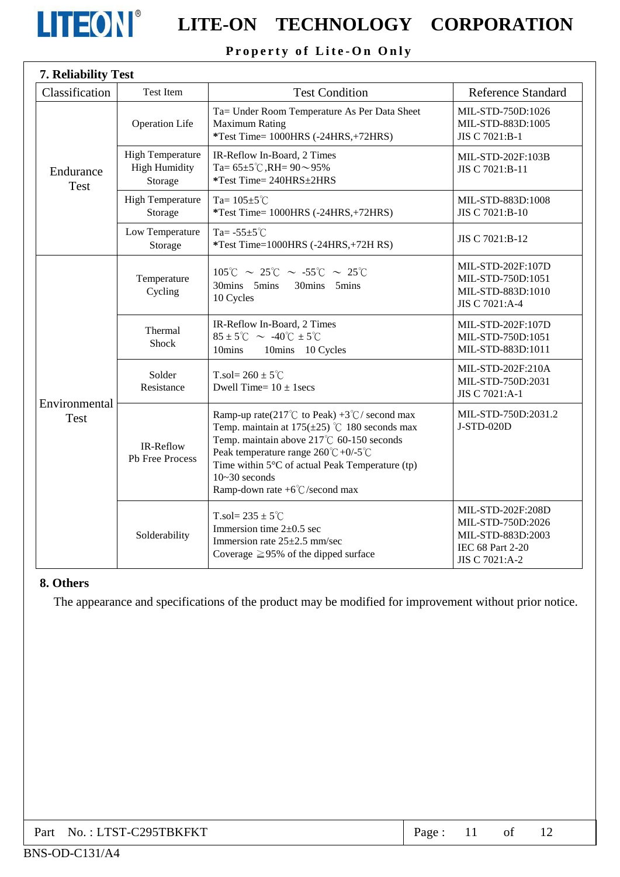

# **LITEON** LITE-ON TECHNOLOGY CORPORATION

## Property of Lite-On Only

| Classification               | Test Item                                                  | <b>Test Condition</b>                                                                                                                                                                                                                                                                                                                | <b>Reference Standard</b>                                                                         |
|------------------------------|------------------------------------------------------------|--------------------------------------------------------------------------------------------------------------------------------------------------------------------------------------------------------------------------------------------------------------------------------------------------------------------------------------|---------------------------------------------------------------------------------------------------|
| Endurance<br><b>Test</b>     | <b>Operation Life</b>                                      | Ta= Under Room Temperature As Per Data Sheet<br><b>Maximum Rating</b><br>*Test Time= 1000HRS (-24HRS,+72HRS)                                                                                                                                                                                                                         | MIL-STD-750D:1026<br>MIL-STD-883D:1005<br>JIS C 7021:B-1                                          |
|                              | <b>High Temperature</b><br><b>High Humidity</b><br>Storage | IR-Reflow In-Board, 2 Times<br>Ta= $65\pm5^{\circ}$ C, RH= $90\sim95\%$<br>*Test Time= 240HRS±2HRS                                                                                                                                                                                                                                   | MIL-STD-202F:103B<br>JIS C 7021:B-11                                                              |
|                              | <b>High Temperature</b><br>Storage                         | Ta= $105 \pm 5^{\circ}$ C<br>*Test Time= 1000HRS (-24HRS,+72HRS)                                                                                                                                                                                                                                                                     | MIL-STD-883D:1008<br>JIS C 7021:B-10                                                              |
|                              | Low Temperature<br>Storage                                 | Ta= $-55\pm5^{\circ}$ C<br>*Test Time=1000HRS (-24HRS,+72H RS)                                                                                                                                                                                                                                                                       | JIS C 7021:B-12                                                                                   |
| Environmental<br><b>Test</b> | Temperature<br>Cycling                                     | $105^{\circ}$ C ~ 25 $^{\circ}$ C ~ -55 $^{\circ}$ C ~ 25 $^{\circ}$ C<br>30mins 5mins<br>30mins 5mins<br>10 Cycles                                                                                                                                                                                                                  | MIL-STD-202F:107D<br>MIL-STD-750D:1051<br>MIL-STD-883D:1010<br>JIS C 7021:A-4                     |
|                              | Thermal<br><b>Shock</b>                                    | IR-Reflow In-Board, 2 Times<br>$85 \pm 5^{\circ}$ C ~ -40 $^{\circ}$ C $\pm 5^{\circ}$ C<br>10mins<br>10mins 10 Cycles                                                                                                                                                                                                               | MIL-STD-202F:107D<br>MIL-STD-750D:1051<br>MIL-STD-883D:1011                                       |
|                              | Solder<br>Resistance                                       | T.sol= $260 \pm 5^{\circ}$ C<br>Dwell Time= $10 \pm 1$ secs                                                                                                                                                                                                                                                                          | MIL-STD-202F:210A<br>MIL-STD-750D:2031<br>JIS C 7021:A-1                                          |
|                              | IR-Reflow<br>Pb Free Process                               | Ramp-up rate(217°C to Peak) +3°C/ second max<br>Temp. maintain at $175(\pm 25)$ °C 180 seconds max<br>Temp. maintain above 217℃ 60-150 seconds<br>Peak temperature range $260^{\circ}C + 0/5^{\circ}C$<br>Time within $5^{\circ}$ C of actual Peak Temperature (tp)<br>$10 - 30$ seconds<br>Ramp-down rate $+6^{\circ}$ C/second max | MIL-STD-750D:2031.2<br>J-STD-020D                                                                 |
|                              | Solderability                                              | T.sol= $235 \pm 5^{\circ}$ C<br>Immersion time $2\pm 0.5$ sec<br>Immersion rate $25\pm2.5$ mm/sec<br>Coverage $\geq$ 95% of the dipped surface                                                                                                                                                                                       | MIL-STD-202F:208D<br>MIL-STD-750D:2026<br>MIL-STD-883D:2003<br>IEC 68 Part 2-20<br>JIS C 7021:A-2 |

#### 8. Others

The appearance and specifications of the product may be modified for improvement without prior notice.

| Part No.: LTST-C295TBKFKT | Page: |  | of |  |
|---------------------------|-------|--|----|--|
|---------------------------|-------|--|----|--|